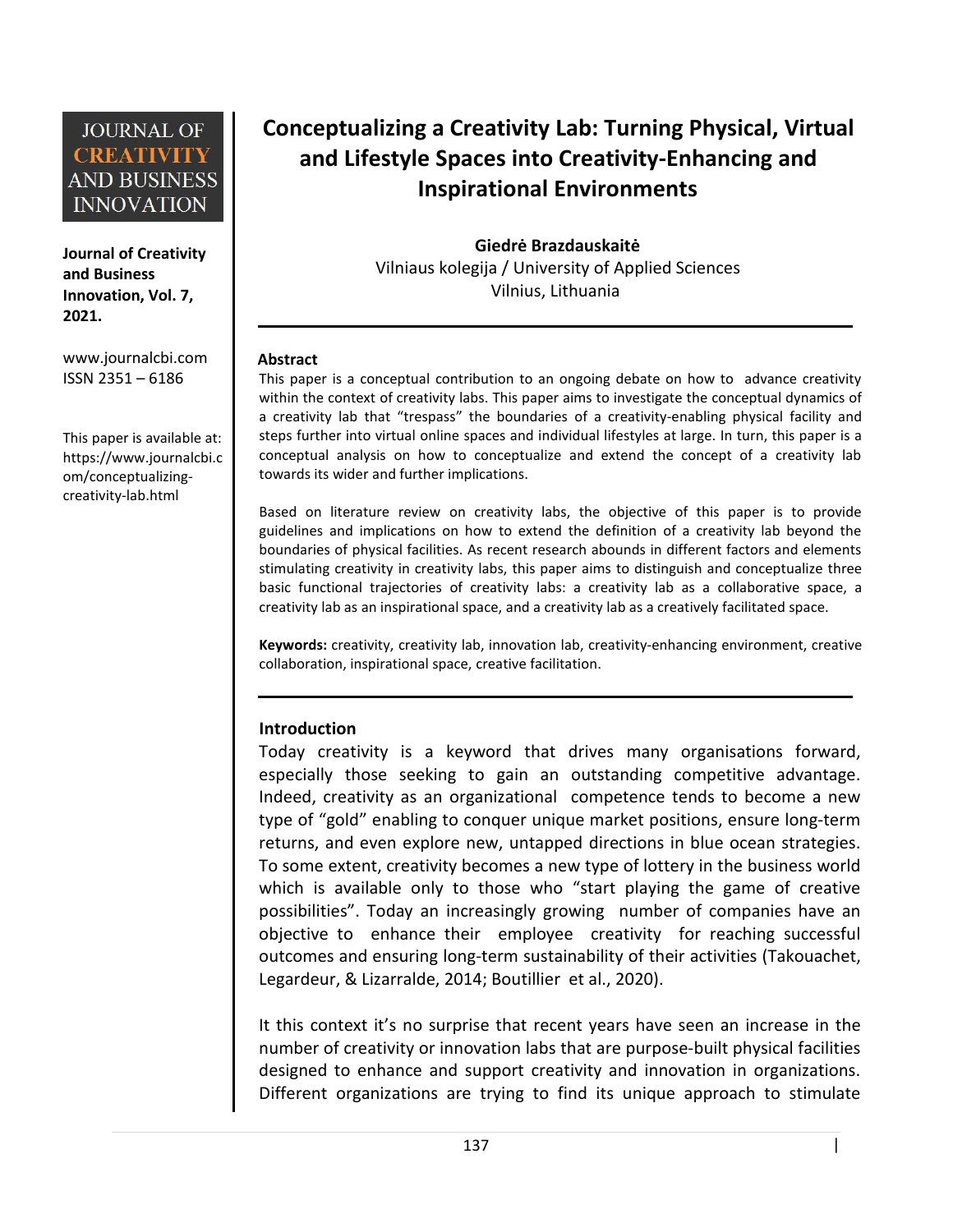**Journal of Creativity and Business Innovation, Vol. 7, 2021.**

[www.journalcbi.com](http://www.journalcbi.com) ISSN 2351 – 6186

This paper is available at: [https://www.journalcbi.c](http://www.journalcbi.com/ideation-using-analogies.html) om/conceptualizing creativity-lab.html

# **Conceptualizing a Creativity Lab: Turning Physical, Virtual and Lifestyle Spaces into Creativity-Enhancing and Inspirational Environments**

**Giedrė Brazdauskaitė** Vilniaus kolegija / University of Applied Sciences Vilnius, Lithuania

#### **Abstract**

This paper is a conceptual contribution to an ongoing debate on how to advance creativity within the context of creativity labs. This paper aims to investigate the conceptual dynamics of a creativity lab that "trespass" the boundaries of a creativity-enabling physical facility and steps further into virtual online spaces and individual lifestyles at large. In turn, this paper is a conceptual analysis on how to conceptualize and extend the concept of a creativity lab towards its wider and further implications.

Based on literature review on creativity labs, the objective of this paper is to provide guidelines and implications on how to extend the definition of a creativity lab beyond the boundaries of physical facilities. As recent research abounds in different factors and elements stimulating creativity in creativity labs, this paper aims to distinguish and conceptualize three basic functional trajectories of creativity labs: a creativity lab as a collaborative space, a creativity lab as an inspirational space, and a creativity lab as a creatively facilitated space.

**Keywords:** creativity, creativity lab, innovation lab, creativity-enhancing environment, creative collaboration, inspirational space, creative facilitation.

### **Introduction**

Today creativity is a keyword that drives many organisations forward, especially those seeking to gain an outstanding competitive advantage. Indeed, creativity as an organizational competence tends to become a new type of "gold" enabling to conquer unique market positions, ensure long-term returns, and even explore new, untapped directions in blue ocean strategies. To some extent, creativity becomes a new type of lottery in the business world which is available only to those who "start playing the game of creative possibilities". Today an increasingly growing number of companies have an objective to enhance their employee creativity for reaching successful outcomes and ensuring long-term sustainability of their activities (Takouachet, Legardeur, & Lizarralde, 2014; Boutillier et al., 2020).

It this context it's no surprise that recent years have seen an increase in the number of creativity or innovation labs that are purpose-built physical facilities designed to enhance and support creativity and innovation in organizations. Different organizations are trying to find its unique approach to stimulate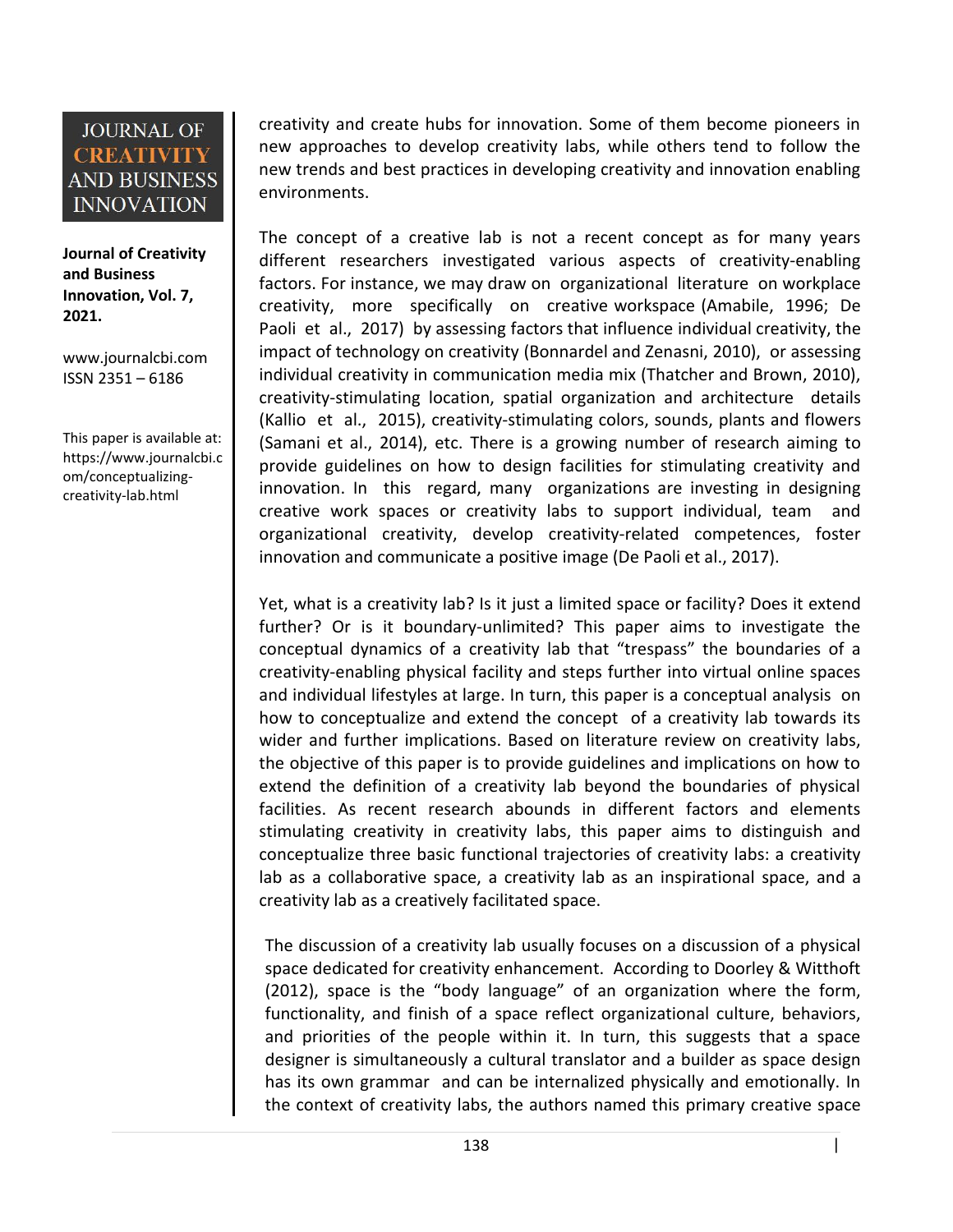**Journal of Creativity and Business Innovation, Vol. 7, 2021.**

[www.journalcbi.com](http://www.journalcbi.com) ISSN 2351 – 6186

This paper is available at: [https://www.journalcbi.c](http://www.journalcbi.com/ideation-using-analogies.html) om/conceptualizing creativity-lab.html

creativity and create hubs for innovation. Some of them become pioneers in new approaches to develop creativity labs, while others tend to follow the new trends and best practices in developing creativity and innovation enabling environments.

The concept of a creative lab is not a recent concept as for many years different researchers investigated various aspects of creativity-enabling factors. For instance, we may draw on organizational literature on workplace creativity, more specifically on creative workspace (Amabile, 1996; De Paoli et al., 2017) by assessing factors that influence individual creativity, the impact of technology on creativity (Bonnardel and Zenasni, 2010), or assessing individual creativity in communication media mix (Thatcher and Brown, 2010), creativity-stimulating location, spatial organization and architecture details (Kallio et al., 2015), creativity-stimulating colors, sounds, plants and flowers (Samani et al., 2014), etc. There is a growing number of research aiming to provide guidelines on how to design facilities for stimulating creativity and innovation. In this regard, many organizations are investing in designing creative work spaces or creativity labs to support individual, team and organizational creativity, develop creativity-related competences, foster innovation and communicate a positive image (De Paoli et al., 2017).

Yet, what is a creativity lab? Is it just a limited space or facility? Does it extend further? Or is it boundary-unlimited? This paper aims to investigate the conceptual dynamics of a creativity lab that "trespass" the boundaries of a creativity-enabling physical facility and steps further into virtual online spaces and individual lifestyles at large. In turn, this paper is a conceptual analysis on how to conceptualize and extend the concept of a creativity lab towards its wider and further implications. Based on literature review on creativity labs, the objective of this paper is to provide guidelines and implications on how to extend the definition of a creativity lab beyond the boundaries of physical facilities. As recent research abounds in different factors and elements stimulating creativity in creativity labs, this paper aims to distinguish and conceptualize three basic functional trajectories of creativity labs: a creativity lab as a collaborative space, a creativity lab as an inspirational space, and a creativity lab as a creatively facilitated space.

The discussion of a creativity lab usually focuses on a discussion of a physical space dedicated for creativity enhancement. According to Doorley & Witthoft (2012), space is the "body language" of an organization where the form, functionality, and finish of a space reflect organizational culture, behaviors, and priorities of the people within it. In turn, this suggests that a space designer is simultaneously a cultural translator and a builder as space design has its own grammar and can be internalized physically and emotionally. In the context of creativity labs, the authors named this primary creative space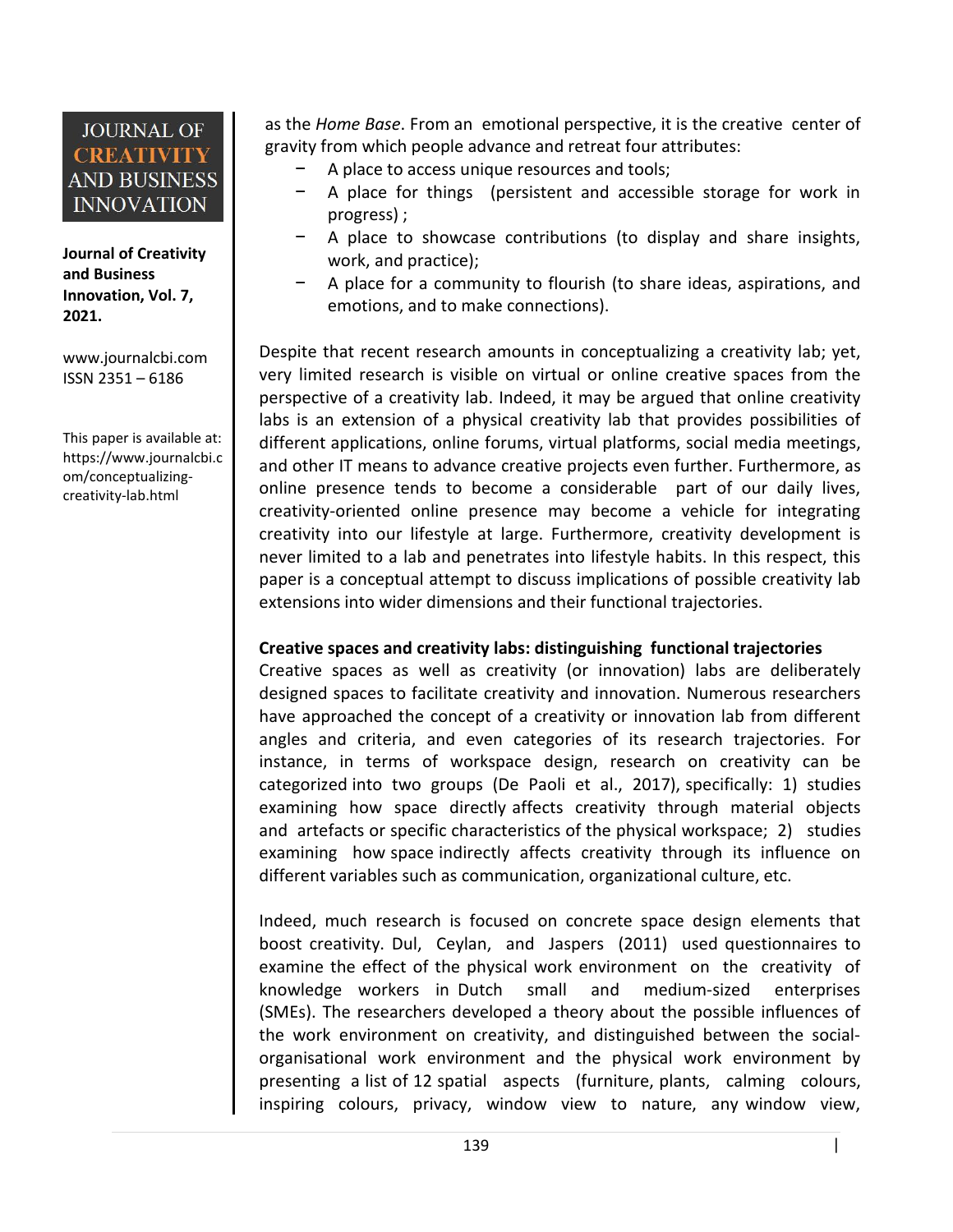**Journal of Creativity and Business Innovation, Vol. 7, 2021.**

[www.journalcbi.com](http://www.journalcbi.com) ISSN 2351 – 6186

This paper is available at: [https://www.journalcbi.c](http://www.journalcbi.com/ideation-using-analogies.html) om/conceptualizing creativity-lab.html

as the *Home Base*. From an emotional perspective, it is the creative center of gravity from which people advance and retreat four attributes:

- A place to access unique resources and tools;
- − A place for things (persistent and accessible storage for work in progress) ;
- A place to showcase contributions (to display and share insights, work, and practice);
- A place for a community to flourish (to share ideas, aspirations, and emotions, and to make connections).

Despite that recent research amounts in conceptualizing a creativity lab; yet, very limited research is visible on virtual or online creative spaces from the perspective of a creativity lab. Indeed, it may be argued that online creativity labs is an extension of a physical creativity lab that provides possibilities of different applications, online forums, virtual platforms, social media meetings, and other IT means to advance creative projects even further. Furthermore, as online presence tends to become a considerable part of our daily lives, creativity-oriented online presence may become a vehicle for integrating creativity into our lifestyle at large. Furthermore, creativity development is never limited to a lab and penetrates into lifestyle habits. In this respect, this paper is a conceptual attempt to discuss implications of possible creativity lab extensions into wider dimensions and their functional trajectories.

### **Creative spaces and creativity labs: distinguishing functional trajectories**

Creative spaces as well as creativity (or innovation) labs are deliberately designed spaces to facilitate creativity and innovation. Numerous researchers have approached the concept of a creativity or innovation lab from different angles and criteria, and even categories of its research trajectories. For instance, in terms of workspace design, research on creativity can be categorized into two groups (De Paoli et al., 2017), specifically: 1) studies examining how space directly affects creativity through material objects and artefacts or specific characteristics of the physical workspace; 2) studies examining how space indirectly affects creativity through its influence on different variables such as communication, organizational culture, etc.

Indeed, much research is focused on concrete space design elements that boost creativity. Dul, Ceylan, and Jaspers (2011) used questionnaires to examine the effect of the physical work environment on the creativity of knowledge workers in Dutch small and medium-sized enterprises (SMEs). The researchers developed a theory about the possible influences of the work environment on creativity, and distinguished between the social organisational work environment and the physical work environment by presenting a list of 12 spatial aspects (furniture, plants, calming colours, inspiring colours, privacy, window view to nature, any window view,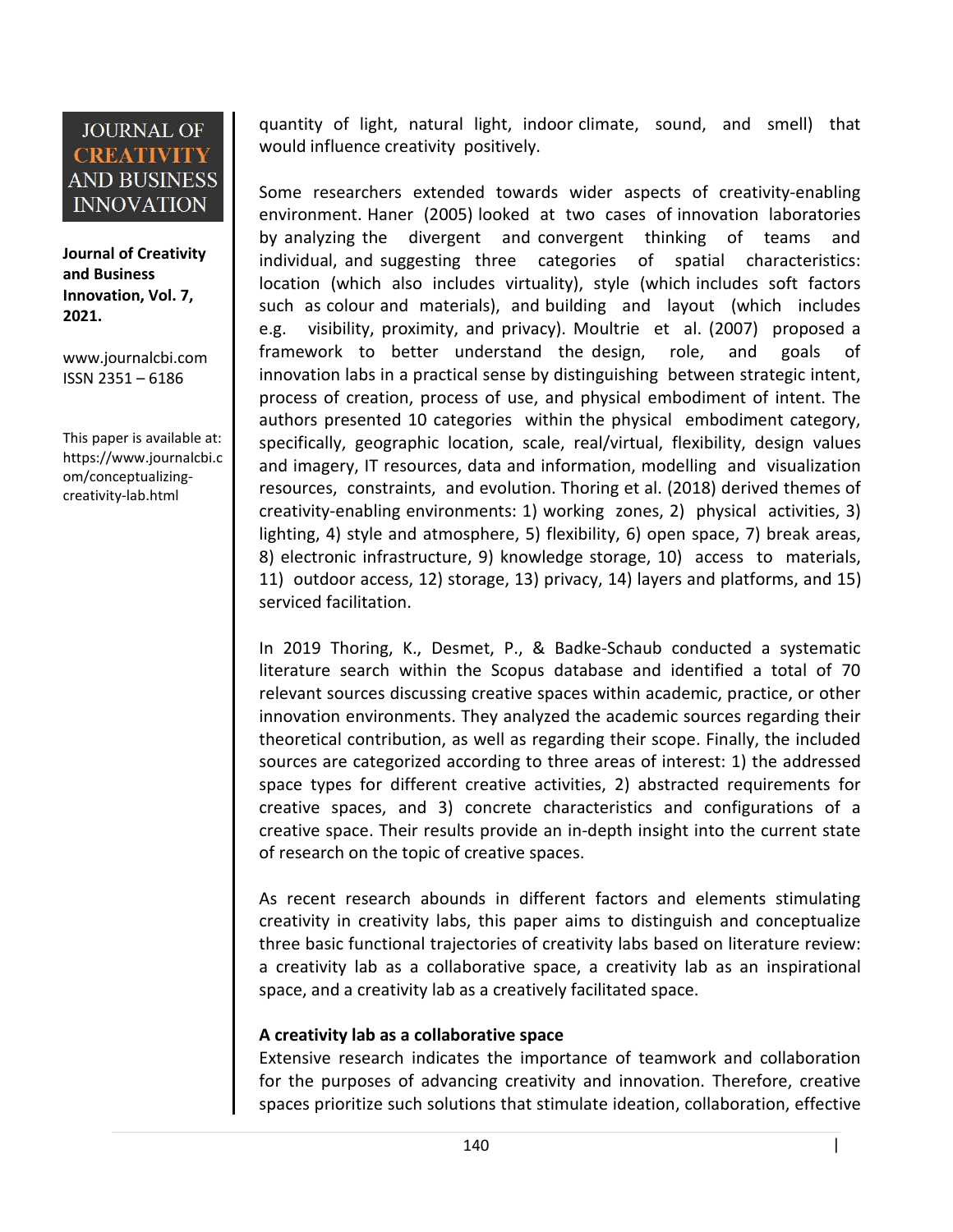**Journal of Creativity and Business Innovation, Vol. 7, 2021.**

[www.journalcbi.com](http://www.journalcbi.com) ISSN 2351 – 6186

This paper is available at: [https://www.journalcbi.c](http://www.journalcbi.com/ideation-using-analogies.html) om/conceptualizing creativity-lab.html

quantity of light, natural light, indoor climate, sound, and smell) that would influence creativity positively.

Some researchers extended towards wider aspects of creativity-enabling environment. Haner (2005) looked at two cases of innovation laboratories by analyzing the divergent and convergent thinking of teams and individual, and suggesting three categories of spatial characteristics: location (which also includes virtuality), style (which includes soft factors such as colour and materials), and building and layout (which includes e.g. visibility, proximity, and privacy). Moultrie et al. (2007) proposed a framework to better understand the design, role, and goals of innovation labs in a practical sense by distinguishing between strategic intent, process of creation, process of use, and physical embodiment of intent. The authors presented 10 categories within the physical embodiment category, specifically, geographic location, scale, real/virtual, flexibility, design values and imagery, IT resources, data and information, modelling and visualization resources, constraints, and evolution. Thoring et al. (2018) derived themes of creativity-enabling environments: 1) working zones, 2) physical activities, 3) lighting, 4) style and atmosphere, 5) flexibility, 6) open space, 7) break areas, 8) electronic infrastructure, 9) knowledge storage, 10) access to materials, 11) outdoor access, 12) storage, 13) privacy, 14) layers and platforms, and 15) serviced facilitation.

In 2019 Thoring, K., Desmet, P., & Badke-Schaub conducted a systematic literature search within the Scopus database and identified a total of 70 relevant sources discussing creative spaces within academic, practice, or other innovation environments. They analyzed the academic sources regarding their theoretical contribution, as well as regarding their scope. Finally, the included sources are categorized according to three areas of interest: 1) the addressed space types for different creative activities, 2) abstracted requirements for creative spaces, and 3) concrete characteristics and configurations of a creative space. Their results provide an in-depth insight into the current state of research on the topic of creative spaces.

As recent research abounds in different factors and elements stimulating creativity in creativity labs, this paper aims to distinguish and conceptualize three basic functional trajectories of creativity labs based on literature review: a creativity lab as a collaborative space, a creativity lab as an inspirational space, and a creativity lab as a creatively facilitated space.

### **A creativity lab as a collaborative space**

Extensive research indicates the importance of teamwork and collaboration for the purposes of advancing creativity and innovation. Therefore, creative spaces prioritize such solutions that stimulate ideation, collaboration, effective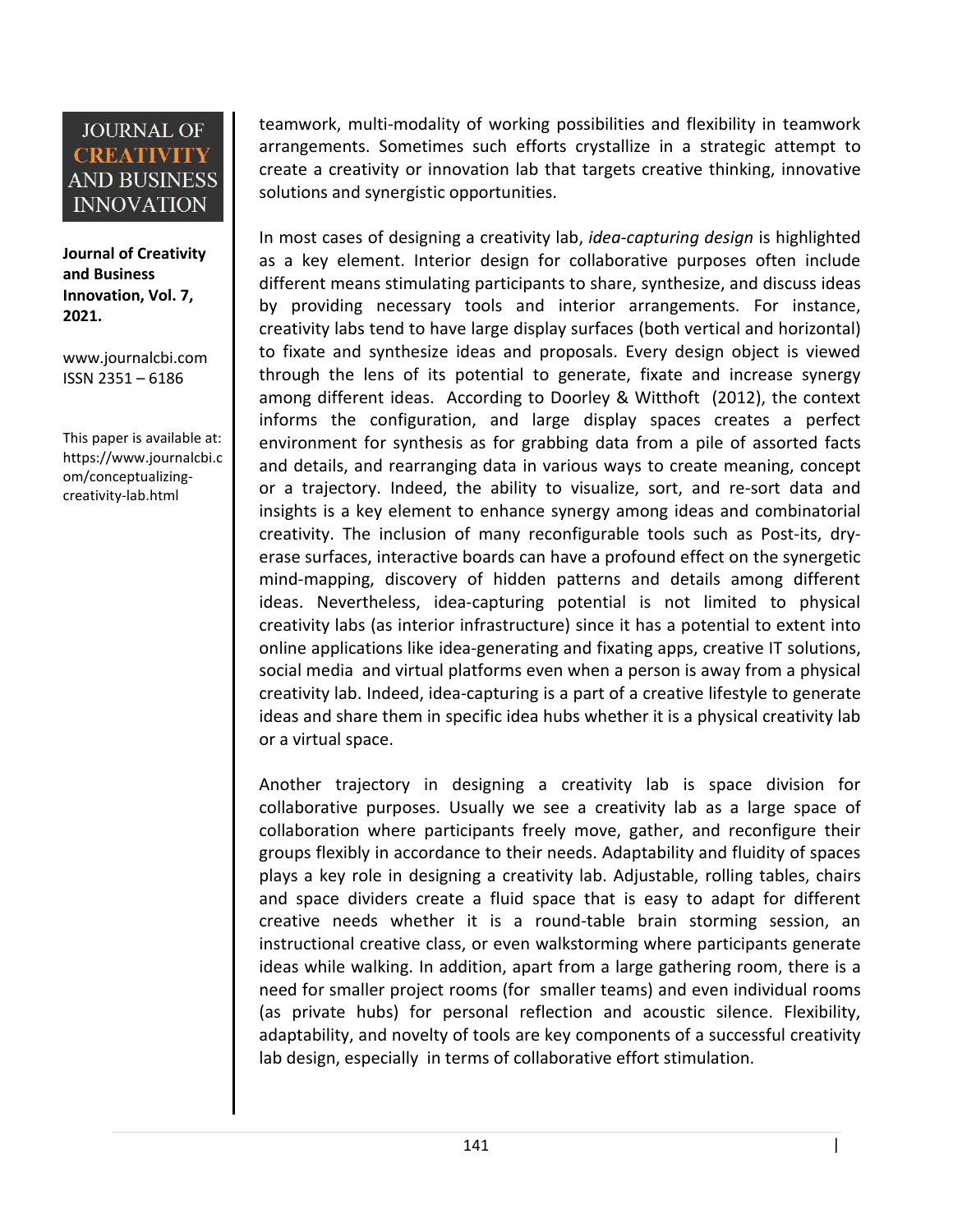**Journal of Creativity and Business Innovation, Vol. 7, 2021.**

[www.journalcbi.com](http://www.journalcbi.com) ISSN 2351 – 6186

This paper is available at: [https://www.journalcbi.c](http://www.journalcbi.com/ideation-using-analogies.html) om/conceptualizing creativity-lab.html

teamwork, multi-modality of working possibilities and flexibility in teamwork arrangements. Sometimes such efforts crystallize in a strategic attempt to create a creativity or innovation lab that targets creative thinking, innovative solutions and synergistic opportunities.

In most cases of designing a creativity lab, *idea-capturing design* is highlighted as a key element. Interior design for collaborative purposes often include different means stimulating participants to share, synthesize, and discuss ideas by providing necessary tools and interior arrangements. For instance, creativity labs tend to have large display surfaces (both vertical and horizontal) to fixate and synthesize ideas and proposals. Every design object is viewed through the lens of its potential to generate, fixate and increase synergy among different ideas. According to Doorley & Witthoft (2012), the context informs the configuration, and large display spaces creates a perfect environment for synthesis as for grabbing data from a pile of assorted facts and details, and rearranging data in various ways to create meaning, concept or a trajectory. Indeed, the ability to visualize, sort, and re-sort data and insights is a key element to enhance synergy among ideas and combinatorial creativity. The inclusion of many reconfigurable tools such as Post-its, dry erase surfaces, interactive boards can have a profound effect on the synergetic mind-mapping, discovery of hidden patterns and details among different ideas. Nevertheless, idea-capturing potential is not limited to physical creativity labs (as interior infrastructure) since it has a potential to extent into online applications like idea-generating and fixating apps, creative IT solutions, social media and virtual platforms even when a person is away from a physical creativity lab. Indeed, idea-capturing is a part of a creative lifestyle to generate ideas and share them in specific idea hubs whether it is a physical creativity lab or a virtual space.

Another trajectory in designing a creativity lab is space division for collaborative purposes. Usually we see a creativity lab as a large space of collaboration where participants freely move, gather, and reconfigure their groups flexibly in accordance to their needs. Adaptability and fluidity of spaces plays a key role in designing a creativity lab. Adjustable, rolling tables, chairs and space dividers create a fluid space that is easy to adapt for different creative needs whether it is a round-table brain storming session, an instructional creative class, or even walkstorming where participants generate ideas while walking. In addition, apart from a large gathering room, there is a need for smaller project rooms (for smaller teams) and even individual rooms (as private hubs) for personal reflection and acoustic silence. Flexibility, adaptability, and novelty of tools are key components of a successful creativity lab design, especially in terms of collaborative effort stimulation.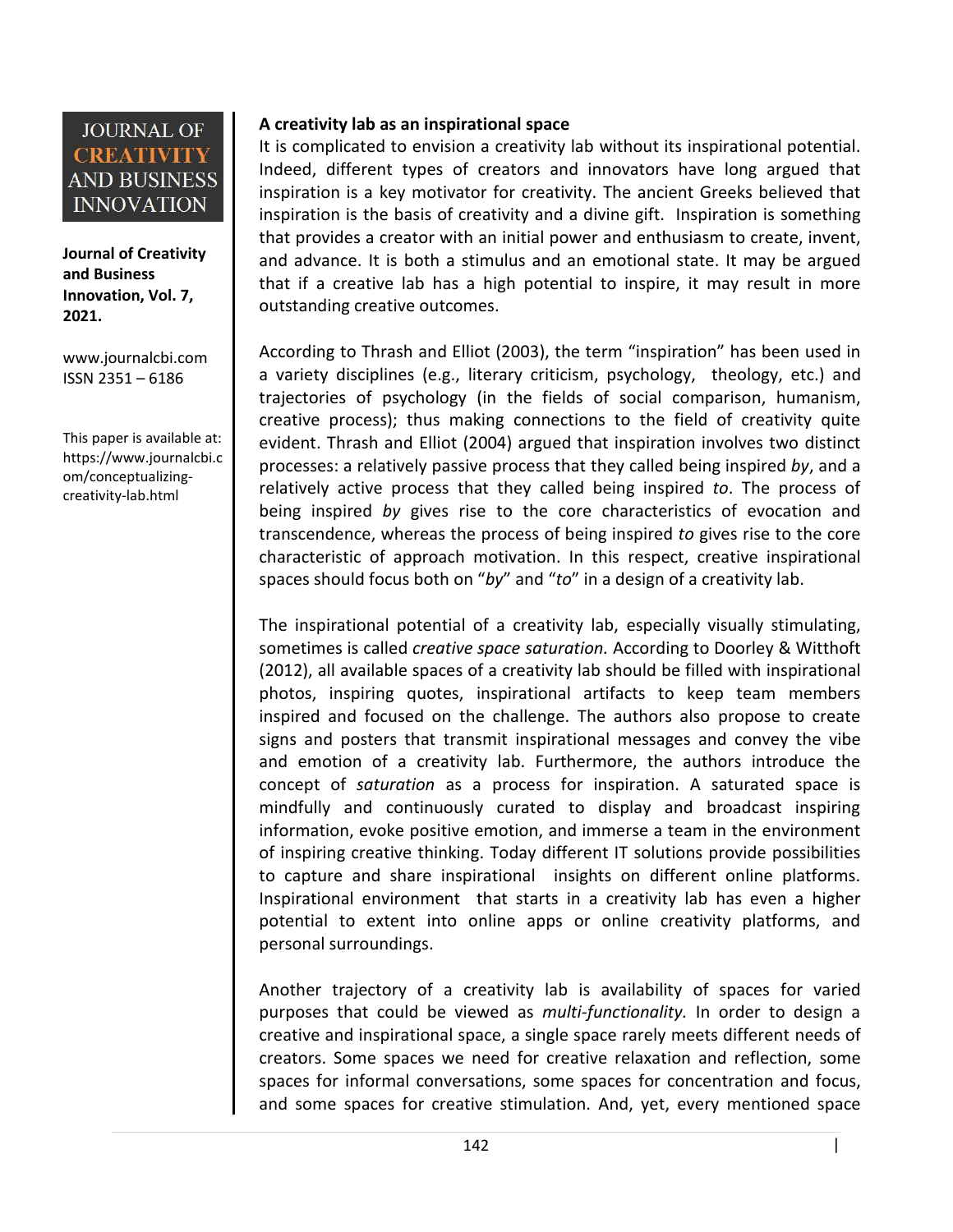**Journal of Creativity and Business Innovation, Vol. 7, 2021.**

[www.journalcbi.com](http://www.journalcbi.com) ISSN 2351 – 6186

This paper is available at: [https://www.journalcbi.c](http://www.journalcbi.com/ideation-using-analogies.html) om/conceptualizing creativity-lab.html

### **A creativity lab as an inspirational space**

It is complicated to envision a creativity lab without its inspirational potential. Indeed, different types of creators and innovators have long argued that inspiration is a key motivator for creativity. The ancient Greeks believed that inspiration is the basis of creativity and a divine gift. Inspiration is something that provides a creator with an initial power and enthusiasm to create, invent, and advance. It is both a stimulus and an emotional state. It may be argued that if a creative lab has a high potential to inspire, it may result in more outstanding creative outcomes.

According to Thrash and Elliot (2003), the term "inspiration" has been used in a variety disciplines (e.g., literary criticism, psychology, theology, etc.) and trajectories of psychology (in the fields of social comparison, humanism, creative process); thus making connections to the field of creativity quite evident. Thrash and Elliot (2004) argued that inspiration involves two distinct processes: a relatively passive process that they called being inspired *by*, and a relatively active process that they called being inspired *to*. The process of being inspired *by*gives rise to the core characteristics of evocation and transcendence, whereas the process of being inspired *to* gives rise to the core characteristic of approach motivation. In this respect, creative inspirational spaces should focus both on "*by*"and "*to*" in a design of a creativity lab.

The inspirational potential of a creativity lab, especially visually stimulating, sometimes is called *creative space saturation.* According to Doorley & Witthoft (2012), all available spaces of a creativity lab should be filled with inspirational photos, inspiring quotes, inspirational artifacts to keep team members inspired and focused on the challenge. The authors also propose to create signs and posters that transmit inspirational messages and convey the vibe and emotion of a creativity lab. Furthermore, the authors introduce the concept of *saturation* as a process for inspiration. A saturated space is mindfully and continuously curated to display and broadcast inspiring information, evoke positive emotion, and immerse a team in the environment of inspiring creative thinking. Today different IT solutions provide possibilities to capture and share inspirational insights on different online platforms. Inspirational environment that starts in a creativity lab has even a higher potential to extent into online apps or online creativity platforms, and personal surroundings.

Another trajectory of a creativity lab is availability of spaces for varied purposes that could be viewed as *multi-functionality.* In order to design a creative and inspirational space, a single space rarely meets different needs of creators. Some spaces we need for creative relaxation and reflection, some spaces for informal conversations, some spaces for concentration and focus, and some spaces for creative stimulation. And, yet, every mentioned space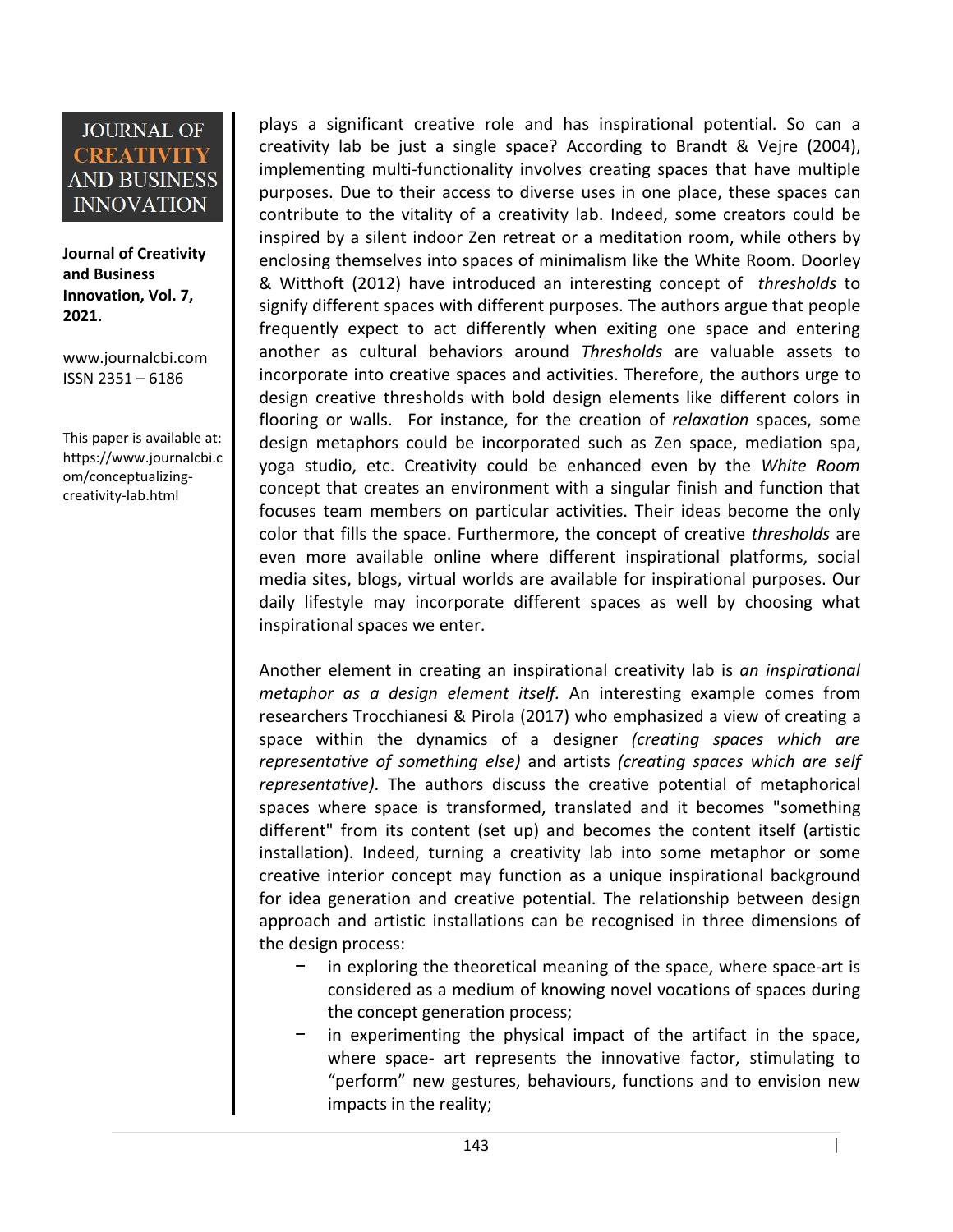**Journal of Creativity and Business Innovation, Vol. 7, 2021.**

[www.journalcbi.com](http://www.journalcbi.com) ISSN 2351 – 6186

This paper is available at: [https://www.journalcbi.c](http://www.journalcbi.com/ideation-using-analogies.html) om/conceptualizing creativity-lab.html

plays a significant creative role and has inspirational potential. So can a creativity lab be just a single space? According to Brandt & Vejre (2004), implementing multi-functionality involves creating spaces that have multiple purposes. Due to their access to diverse uses in one place, these spaces can contribute to the vitality of a creativity lab. Indeed, some creators could be inspired by a silent indoor Zen retreat or a meditation room, while others by enclosing themselves into spaces of minimalism like the White Room. Doorley & Witthoft (2012) have introduced an interesting concept of *thresholds* to signify different spaces with different purposes. The authors argue that people frequently expect to act differently when exiting one space and entering another as cultural behaviors around *Thresholds* are valuable assets to incorporate into creative spaces and activities. Therefore, the authors urge to design creative thresholds with bold design elements like different colors in flooring or walls. For instance, for the creation of *relaxation* spaces, some design metaphors could be incorporated such as Zen space, mediation spa, yoga studio, etc. Creativity could be enhanced even by the *White Room* concept that creates an environment with asingular finish and function that focuses team members on particular activities. Their ideas become the only color that fills the space. Furthermore, the concept of creative *thresholds* are even more available online where different inspirational platforms, social media sites, blogs, virtual worlds are available for inspirational purposes. Our daily lifestyle may incorporate different spaces as well by choosing what inspirational spaces we enter.

Another element in creating an inspirational creativity lab is *an inspirational metaphor as a design element itself.* An interesting example comes from researchers Trocchianesi & Pirola (2017) who emphasized a view of creating a space within the dynamics of a designer *(creating spaces which are representative of something else)* and artists *(creating spaces which are self representative)*. The authors discuss the creative potential of metaphorical spaces where space is transformed, translated and it becomes "something different" from its content (set up) and becomes the content itself (artistic installation). Indeed, turning a creativity lab into some metaphor or some creative interior concept may function as a unique inspirational background for idea generation and creative potential. The relationship between design approach and artistic installations can be recognised in three dimensions of the design process:

- in exploring the theoretical meaning of the space, where space-art is considered as a medium of knowing novel vocations of spaces during the concept generation process;
- in experimenting the physical impact of the artifact in the space, where space- art represents the innovative factor, stimulating to "perform" new gestures, behaviours, functions and to envision new impacts in the reality;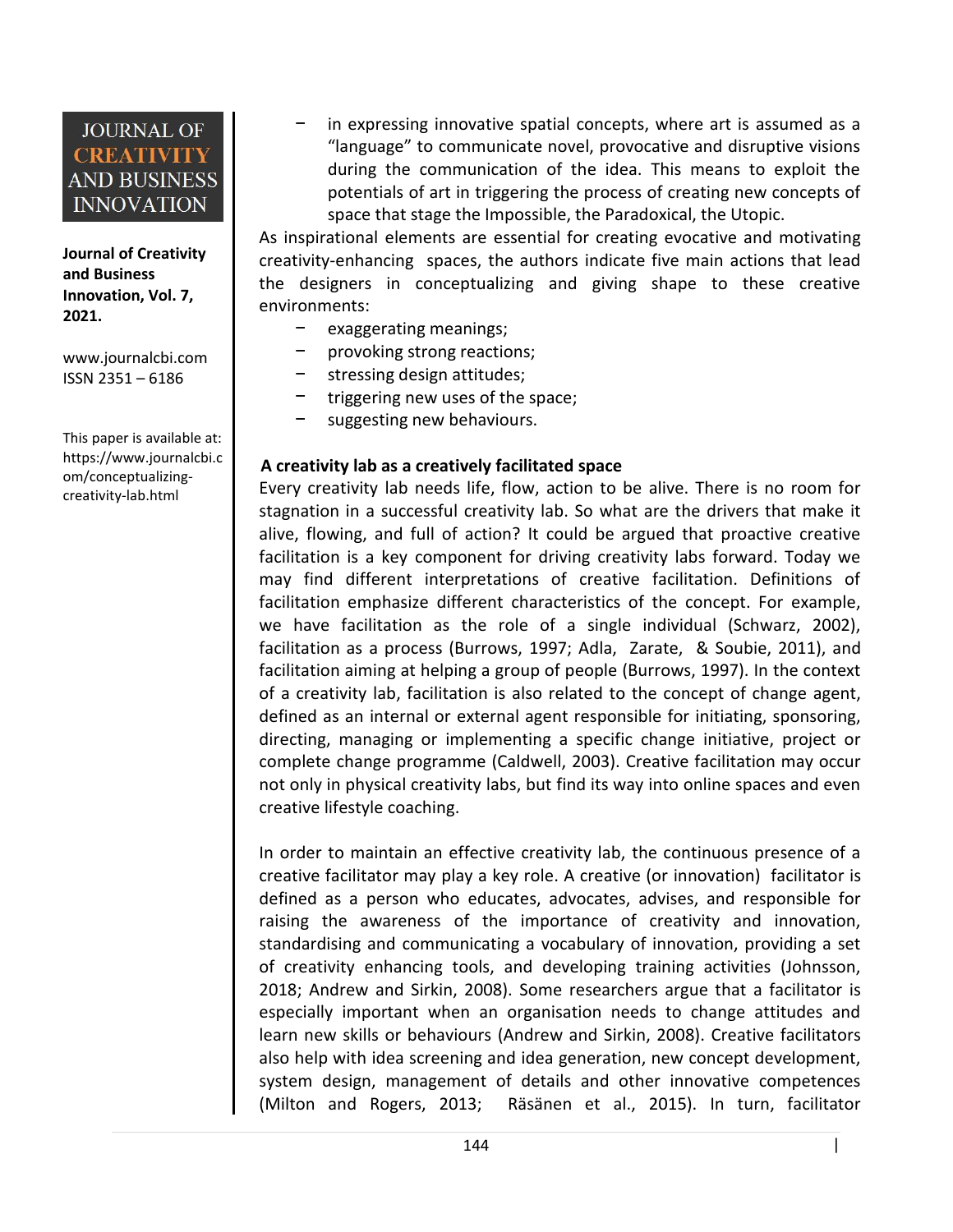

**Journal of Creativity and Business Innovation, Vol. 7, 2021.**

[www.journalcbi.com](http://www.journalcbi.com)  $\begin{bmatrix} -1 & -1 \\ -1 & -1 \end{bmatrix}$ ISSN 2351 – 6186

This paper is available at: [https://www.journalcbi.c](http://www.journalcbi.com/ideation-using-analogies.html) om/conceptualizing creativity-lab.html

− in expressing innovative spatial concepts, where art is assumed as a "language" to communicate novel, provocative and disruptive visions during the communication of the idea. This means to exploit the potentials of art in triggering the process of creating new concepts of space that stage the Impossible, the Paradoxical, the Utopic.

As inspirational elements are essential for creating evocative and motivating creativity-enhancing spaces, the authors indicate five main actions that lead the designers in conceptualizing and giving shape to these creative environments:

- − exaggerating meanings;
	- provoking strong reactions;
- stressing design attitudes;
- − triggering new uses of the space;
- suggesting new behaviours.

#### **A creativity lab as a creatively facilitated space**

Every creativity lab needs life, flow, action to be alive. There is no room for stagnation in a successful creativity lab. So what are the drivers that make it alive, flowing, and full of action? It could be argued that proactive creative facilitation is a key component for driving creativity labs forward. Today we may find different interpretations of creative facilitation. Definitions of facilitation emphasize different characteristics of the concept. For example, we have facilitation as the role of a single individual (Schwarz, 2002), facilitation as a process (Burrows, 1997; Adla, Zarate, & Soubie, 2011), and facilitation aiming at helping a group of people (Burrows, 1997). In the context of a creativity lab, facilitation is also related to the concept of change agent, defined as an internal or external agent responsible for initiating, sponsoring, directing, managing or implementing a specific change initiative, project or complete change programme (Caldwell, 2003). Creative facilitation may occur not only in physical creativity labs, but find its way into online spaces and even creative lifestyle coaching.

In order to maintain an effective creativity lab, the continuous presence of a creative facilitator may play a key role. A creative (or innovation) facilitator is defined as a person who educates, advocates, advises, and responsible for raising the awareness of the importance of creativity and innovation, standardising and communicating a vocabulary of innovation, providing a set of creativity enhancing tools, and developing training activities (Johnsson, 2018; Andrew and Sirkin, 2008). Some researchers argue that a facilitator is especially important when an organisation needs to change attitudes and learn new skills or behaviours (Andrew and Sirkin, 2008). Creative facilitators also help with idea screening and idea generation, new concept development, system design, management of details and other innovative competences (Milton and Rogers, 2013; Räsänen et al., 2015). In turn, facilitator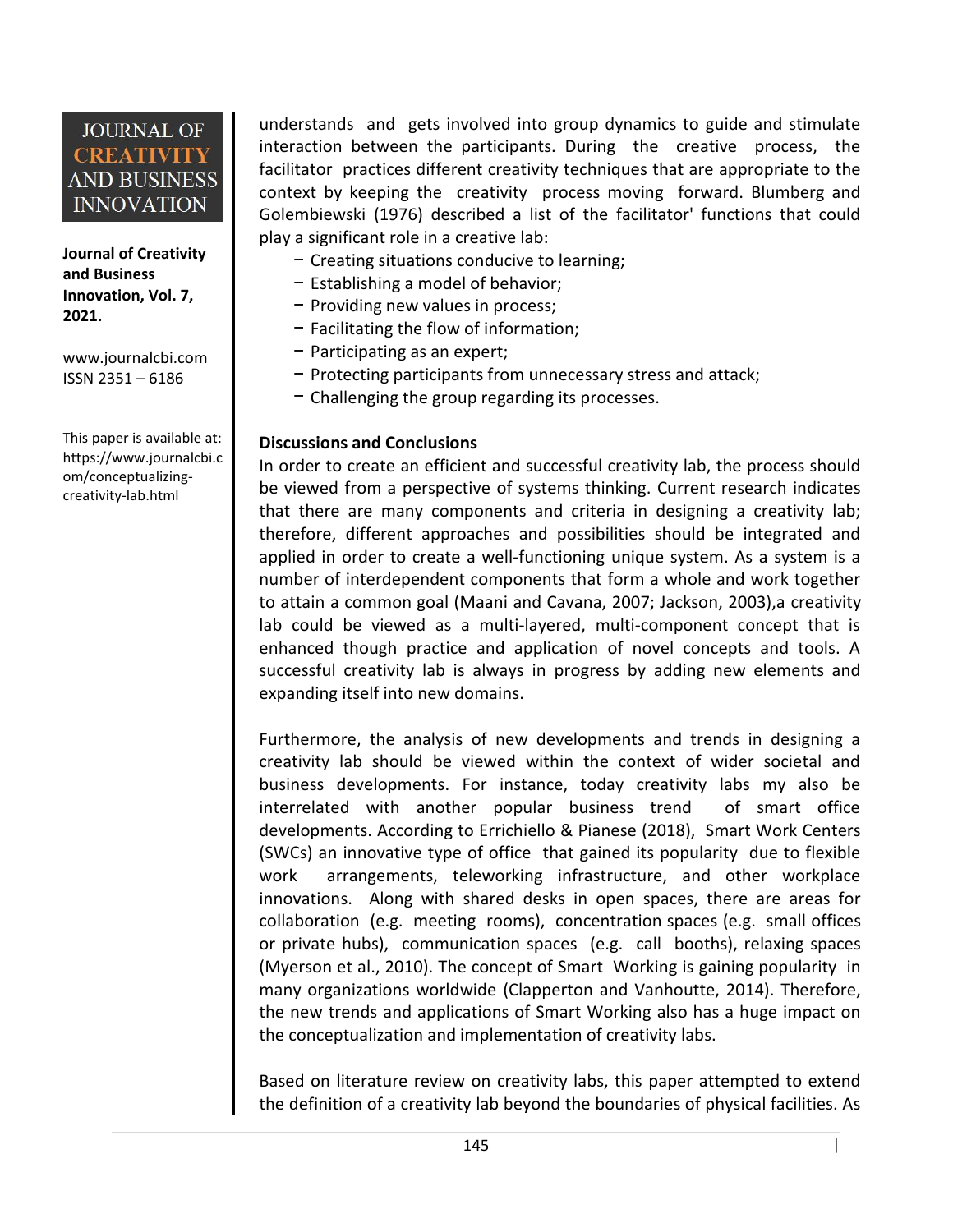**Journal of Creativity and Business Innovation, Vol. 7, 2021.**

[www.journalcbi.com](http://www.journalcbi.com) ISSN 2351 – 6186

This paper is available at: [https://www.journalcbi.c](http://www.journalcbi.com/ideation-using-analogies.html) om/conceptualizing creativity-lab.html

understands and gets involved into group dynamics to guide and stimulate interaction between the participants. During the creative process, the facilitator practices different creativity techniques that are appropriate to the context by keeping the creativity process moving forward. Blumberg and Golembiewski (1976) described a list of the facilitator' functions that could play a significant role in a creative lab:

- − Creating situations conducive to learning;
- − Establishing a model of behavior;
- − Providing new values in process;
- − Facilitating the flow of information;
- − Participating as an expert;
- − Protecting participants from unnecessary stress and attack;
- − Challenging the group regarding its processes.

#### **Discussions and Conclusions**

In order to create an efficient and successful creativity lab, the process should be viewed from a perspective of systems thinking. Current research indicates that there are many components and criteria in designing a creativity lab; therefore, different approaches and possibilities should be integrated and applied in order to create a well-functioning unique system. As a system is a number of interdependent components that form a whole and work together to attain a common goal (Maani and Cavana, 2007; Jackson, 2003),a creativity lab could be viewed as a multi-layered, multi-component concept that is enhanced though practice and application of novel concepts and tools. A successful creativity lab is always in progress by adding new elements and expanding itself into new domains.

Furthermore, the analysis of new developments and trends in designing a creativity lab should be viewed within the context of wider societal and business developments. For instance, today creativity labs my also be interrelated with another popular business trend of smart office developments. According to Errichiello & Pianese (2018), Smart Work Centers (SWCs) an innovative type of office that gained its popularity due to flexible work arrangements, teleworking infrastructure, and other workplace innovations. Along with shared desks in open spaces, there are areas for collaboration (e.g. meeting rooms), concentration spaces (e.g. small offices or private hubs), communication spaces (e.g. call booths), relaxing spaces (Myerson et al., 2010). The concept of Smart Working is gaining popularity in many organizations worldwide (Clapperton and Vanhoutte, 2014). Therefore, the new trends and applications of Smart Working also has a huge impacton the conceptualization and implementation of creativity labs.

Based on literature review on creativity labs, this paper attempted to extend the definition of a creativity lab beyond the boundaries of physical facilities. As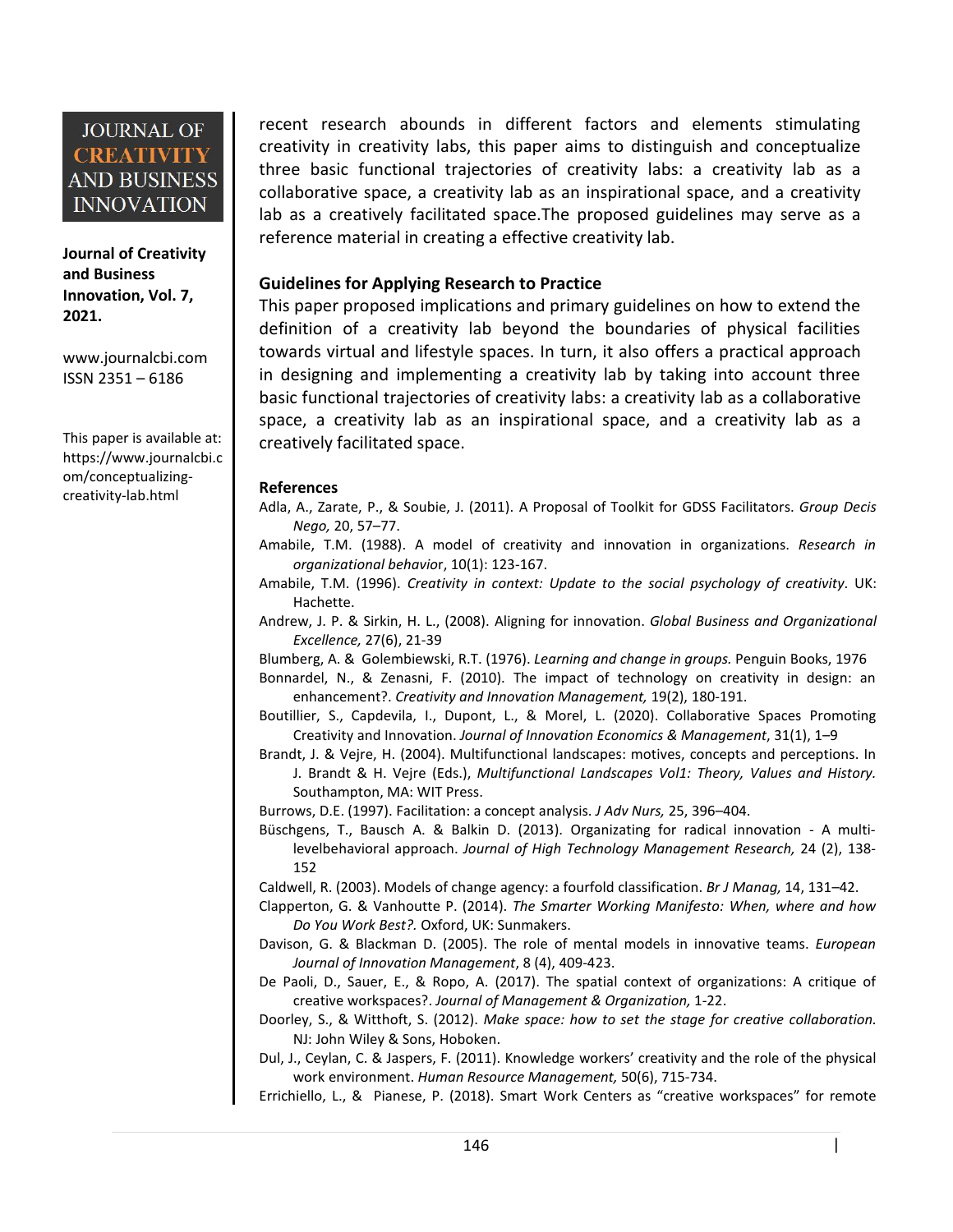**Journal of Creativity and Business Innovation, Vol. 7, 2021.**

[www.journalcbi.com](http://www.journalcbi.com) ISSN 2351 – 6186

This paper is available at: [https://www.journalcbi.c](http://www.journalcbi.com/ideation-using-analogies.html) om/conceptualizing creativity-lab.html

recent research abounds in different factors and elements stimulating creativity in creativity labs, this paper aims to distinguish and conceptualize three basic functional trajectories of creativity labs: a creativity lab as a collaborative space, a creativity lab as an inspirational space, and a creativity lab as a creatively facilitated space.The proposed guidelines may serve as a reference material in creating a effective creativity lab.

#### **Guidelines for Applying Research to Practice**

This paper proposed implications and primary guidelines on how to extend the definition of a creativity lab beyond the boundaries of physical facilities towards virtual and lifestyle spaces. In turn, it also offers a practical approach in designing and implementing a creativity lab by taking into account three basic functional trajectories of creativity labs: a creativity lab as a collaborative space, a creativity lab as an inspirational space, and a creativity lab as a creatively facilitated space.

#### **References**

- Adla, A., Zarate, P., & Soubie, J. (2011). A Proposal of Toolkit for GDSS Facilitators. *Group Decis Nego,* 20, 57–77.
- Amabile, T.M. (1988). A model of creativity and innovation in organizations. *Research in organizational behavio*r, 10(1): 123-167.
- Amabile, T.M. (1996). *Creativity in context: Update to the social psychology of creativity*. UK: Hachette.
- Andrew, J. P. & Sirkin, H. L., (2008). Aligning for innovation. *Global Business and Organizational Excellence,* 27(6), 21-39
- Blumberg, A. & Golembiewski, R.T.(1976). *Learning and change in groups.*Penguin Books, 1976
- Bonnardel, N., & Zenasni, F. (2010). The impact of technology on creativity in design: an enhancement?. *Creativity and Innovation Management,* 19(2), 180-191.
- Boutillier, S., Capdevila, I., Dupont, L., & Morel, L. (2020). Collaborative Spaces Promoting Creativity and Innovation. *Journal of Innovation Economics & Management*, 31(1), 1–9
- Brandt, J. & Vejre, H. (2004). Multifunctional landscapes: motives, concepts and perceptions. In J. Brandt & H. Vejre (Eds.), *Multifunctional Landscapes Vol1: Theory, Values and History.* Southampton, MA: WIT Press.
- Burrows, D.E. (1997). Facilitation: a concept analysis. *J Adv Nurs,* 25, 396–404.
- Büschgens, T., Bausch A. & BalkinD. (2013). Organizating for radical innovation A multilevelbehavioral approach. *Journal of High Technology Management Research,* 24 (2), 138- 152
- Caldwell, R. (2003). Models of change agency: a fourfold classification. *Br J Manag,* 14, 131–42.
- Clapperton, G. & Vanhoutte P. (2014). *The Smarter Working Manifesto: When, where and how Do You Work Best?.* Oxford, UK: Sunmakers.
- Davison, G. & Blackman D. (2005). The role of mental models in innovative teams. *European Journal of Innovation Management*, 8 (4), 409-423.
- De Paoli, D., Sauer, E., & Ropo, A. (2017). The spatial context of organizations: A critique of creative workspaces?. *Journal of Management & Organization,* 1-22.
- Doorley, S., & Witthoft, S. (2012). *Make space: how to set the stage for creative collaboration.* NJ: John Wiley & Sons, Hoboken.
- Dul, J., Ceylan, C. & Jaspers, F. (2011). Knowledge workers' creativity and the role of the physical work environment. *Human Resource Management,* 50(6), 715-734.

Errichiello, L., & Pianese, P. (2018). Smart Work Centers as "creative workspaces" for remote